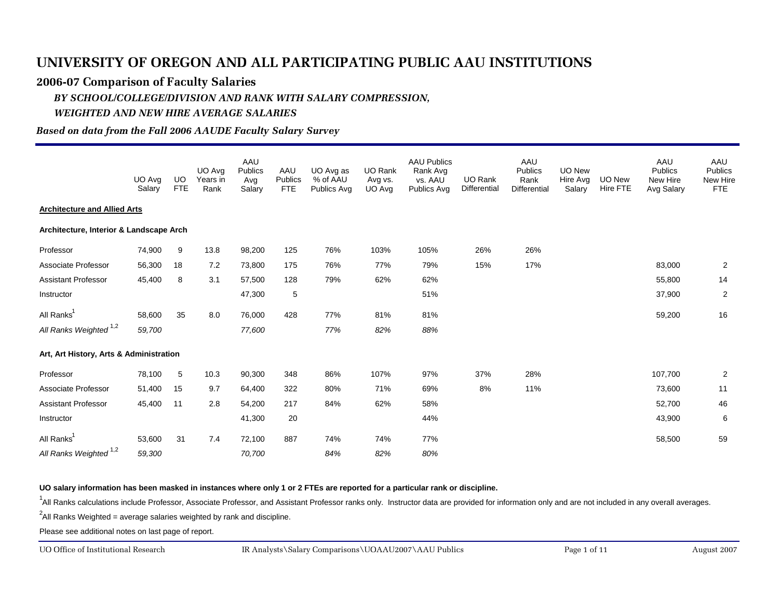#### **2006-07 Comparison of Faculty Salaries**

# *BY SCHOOL/COLLEGE/DIVISION AND RANK WITH SALARY COMPRESSION,*

#### *WEIGHTED AND NEW HIRE AVERAGE SALARIES*

#### *Based on data from the Fall 2006 AAUDE Faculty Salary Survey*

|                                         | UO Avg<br>Salary | UO<br><b>FTE</b> | UO Avg<br>Years in<br>Rank | AAU<br><b>Publics</b><br>Avg<br>Salary | AAU<br><b>Publics</b><br><b>FTE</b> | UO Avg as<br>% of AAU<br>Publics Avg | UO Rank<br>Avg vs.<br>UO Avg | <b>AAU Publics</b><br>Rank Avg<br>vs. AAU<br><b>Publics Avg</b> | UO Rank<br>Differential | AAU<br>Publics<br>Rank<br>Differential | <b>UO New</b><br>Hire Avg<br>Salary | <b>UO New</b><br>Hire FTE | AAU<br><b>Publics</b><br>New Hire<br>Avg Salary | AAU<br><b>Publics</b><br>New Hire<br><b>FTE</b> |
|-----------------------------------------|------------------|------------------|----------------------------|----------------------------------------|-------------------------------------|--------------------------------------|------------------------------|-----------------------------------------------------------------|-------------------------|----------------------------------------|-------------------------------------|---------------------------|-------------------------------------------------|-------------------------------------------------|
| <b>Architecture and Allied Arts</b>     |                  |                  |                            |                                        |                                     |                                      |                              |                                                                 |                         |                                        |                                     |                           |                                                 |                                                 |
| Architecture, Interior & Landscape Arch |                  |                  |                            |                                        |                                     |                                      |                              |                                                                 |                         |                                        |                                     |                           |                                                 |                                                 |
| Professor                               | 74,900           | 9                | 13.8                       | 98,200                                 | 125                                 | 76%                                  | 103%                         | 105%                                                            | 26%                     | 26%                                    |                                     |                           |                                                 |                                                 |
| Associate Professor                     | 56,300           | 18               | 7.2                        | 73,800                                 | 175                                 | 76%                                  | 77%                          | 79%                                                             | 15%                     | 17%                                    |                                     |                           | 83,000                                          | $\overline{2}$                                  |
| <b>Assistant Professor</b>              | 45,400           | 8                | 3.1                        | 57,500                                 | 128                                 | 79%                                  | 62%                          | 62%                                                             |                         |                                        |                                     |                           | 55,800                                          | 14                                              |
| Instructor                              |                  |                  |                            | 47,300                                 | 5                                   |                                      |                              | 51%                                                             |                         |                                        |                                     |                           | 37,900                                          | 2                                               |
| All Ranks <sup>1</sup>                  | 58,600           | 35               | 8.0                        | 76,000                                 | 428                                 | 77%                                  | 81%                          | 81%                                                             |                         |                                        |                                     |                           | 59,200                                          | 16                                              |
| All Ranks Weighted <sup>1,2</sup>       | 59,700           |                  |                            | 77,600                                 |                                     | 77%                                  | 82%                          | 88%                                                             |                         |                                        |                                     |                           |                                                 |                                                 |
| Art, Art History, Arts & Administration |                  |                  |                            |                                        |                                     |                                      |                              |                                                                 |                         |                                        |                                     |                           |                                                 |                                                 |
| Professor                               | 78,100           | 5                | 10.3                       | 90,300                                 | 348                                 | 86%                                  | 107%                         | 97%                                                             | 37%                     | 28%                                    |                                     |                           | 107,700                                         | 2                                               |
| Associate Professor                     | 51,400           | 15               | 9.7                        | 64,400                                 | 322                                 | 80%                                  | 71%                          | 69%                                                             | 8%                      | 11%                                    |                                     |                           | 73,600                                          | 11                                              |
| <b>Assistant Professor</b>              | 45,400           | 11               | 2.8                        | 54,200                                 | 217                                 | 84%                                  | 62%                          | 58%                                                             |                         |                                        |                                     |                           | 52,700                                          | 46                                              |
| Instructor                              |                  |                  |                            | 41,300                                 | 20                                  |                                      |                              | 44%                                                             |                         |                                        |                                     |                           | 43,900                                          | 6                                               |
| All Ranks <sup>1</sup>                  | 53,600           | 31               | 7.4                        | 72,100                                 | 887                                 | 74%                                  | 74%                          | 77%                                                             |                         |                                        |                                     |                           | 58,500                                          | 59                                              |
| All Ranks Weighted <sup>1,2</sup>       | 59,300           |                  |                            | 70,700                                 |                                     | 84%                                  | 82%                          | 80%                                                             |                         |                                        |                                     |                           |                                                 |                                                 |

**UO salary information has been masked in instances where only 1 or 2 FTEs are reported for a particular rank or discipline.**

<sup>1</sup>All Ranks calculations include Professor, Associate Professor, and Assistant Professor ranks only. Instructor data are provided for information only and are not included in any overall averages.

 $^2$ All Ranks Weighted = average salaries weighted by rank and discipline.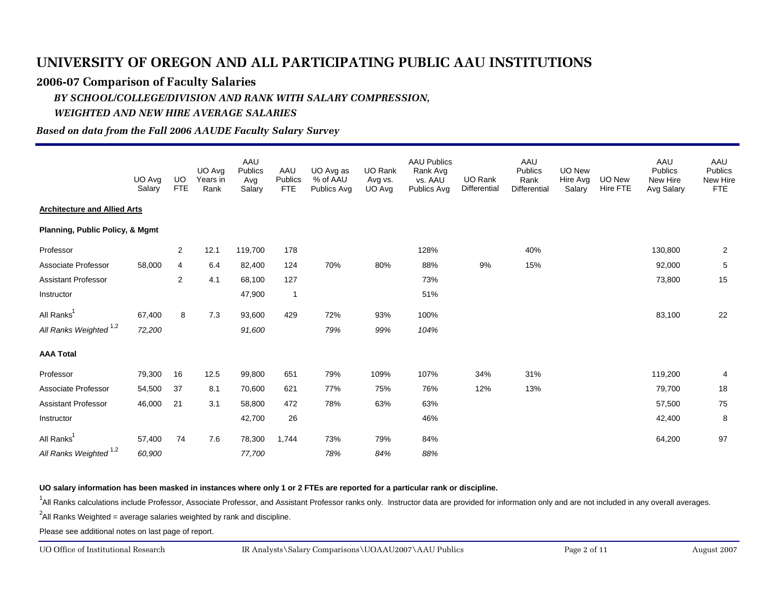#### **2006-07 Comparison of Faculty Salaries**

# *BY SCHOOL/COLLEGE/DIVISION AND RANK WITH SALARY COMPRESSION,*

#### *WEIGHTED AND NEW HIRE AVERAGE SALARIES*

#### *Based on data from the Fall 2006 AAUDE Faculty Salary Survey*

|                                     | UO Avg<br>Salary | <b>UO</b><br><b>FTE</b> | UO Ava<br>Years in<br>Rank | AAU<br>Publics<br>Avg<br>Salary | AAU<br><b>Publics</b><br><b>FTE</b> | UO Avg as<br>% of AAU<br>Publics Avg | UO Rank<br>Avg vs.<br>UO Avg | <b>AAU Publics</b><br>Rank Avg<br>vs. AAU<br>Publics Avg | UO Rank<br>Differential | AAU<br>Publics<br>Rank<br><b>Differential</b> | UO New<br>Hire Avg<br>Salary | UO New<br>Hire FTE | AAU<br>Publics<br>New Hire<br>Avg Salary | AAU<br><b>Publics</b><br>New Hire<br><b>FTE</b> |
|-------------------------------------|------------------|-------------------------|----------------------------|---------------------------------|-------------------------------------|--------------------------------------|------------------------------|----------------------------------------------------------|-------------------------|-----------------------------------------------|------------------------------|--------------------|------------------------------------------|-------------------------------------------------|
| <b>Architecture and Allied Arts</b> |                  |                         |                            |                                 |                                     |                                      |                              |                                                          |                         |                                               |                              |                    |                                          |                                                 |
| Planning, Public Policy, & Mgmt     |                  |                         |                            |                                 |                                     |                                      |                              |                                                          |                         |                                               |                              |                    |                                          |                                                 |
| Professor                           |                  | 2                       | 12.1                       | 119,700                         | 178                                 |                                      |                              | 128%                                                     |                         | 40%                                           |                              |                    | 130,800                                  | 2                                               |
| Associate Professor                 | 58,000           | 4                       | 6.4                        | 82,400                          | 124                                 | 70%                                  | 80%                          | 88%                                                      | 9%                      | 15%                                           |                              |                    | 92,000                                   | 5                                               |
| <b>Assistant Professor</b>          |                  | $\overline{2}$          | 4.1                        | 68,100                          | 127                                 |                                      |                              | 73%                                                      |                         |                                               |                              |                    | 73,800                                   | 15                                              |
| Instructor                          |                  |                         |                            | 47,900                          | $\overline{1}$                      |                                      |                              | 51%                                                      |                         |                                               |                              |                    |                                          |                                                 |
| All Ranks <sup>1</sup>              | 67,400           | 8                       | 7.3                        | 93,600                          | 429                                 | 72%                                  | 93%                          | 100%                                                     |                         |                                               |                              |                    | 83,100                                   | 22                                              |
| All Ranks Weighted <sup>1,2</sup>   | 72,200           |                         |                            | 91,600                          |                                     | 79%                                  | 99%                          | 104%                                                     |                         |                                               |                              |                    |                                          |                                                 |
| <b>AAA Total</b>                    |                  |                         |                            |                                 |                                     |                                      |                              |                                                          |                         |                                               |                              |                    |                                          |                                                 |
| Professor                           | 79,300           | 16                      | 12.5                       | 99,800                          | 651                                 | 79%                                  | 109%                         | 107%                                                     | 34%                     | 31%                                           |                              |                    | 119,200                                  | 4                                               |
| Associate Professor                 | 54,500           | 37                      | 8.1                        | 70,600                          | 621                                 | 77%                                  | 75%                          | 76%                                                      | 12%                     | 13%                                           |                              |                    | 79,700                                   | 18                                              |
| <b>Assistant Professor</b>          | 46,000           | 21                      | 3.1                        | 58,800                          | 472                                 | 78%                                  | 63%                          | 63%                                                      |                         |                                               |                              |                    | 57,500                                   | 75                                              |
| Instructor                          |                  |                         |                            | 42,700                          | 26                                  |                                      |                              | 46%                                                      |                         |                                               |                              |                    | 42,400                                   | 8                                               |
| All Ranks <sup>1</sup>              | 57,400           | 74                      | 7.6                        | 78,300                          | 1,744                               | 73%                                  | 79%                          | 84%                                                      |                         |                                               |                              |                    | 64,200                                   | 97                                              |
| All Ranks Weighted <sup>1,2</sup>   | 60,900           |                         |                            | 77,700                          |                                     | 78%                                  | 84%                          | 88%                                                      |                         |                                               |                              |                    |                                          |                                                 |

**UO salary information has been masked in instances where only 1 or 2 FTEs are reported for a particular rank or discipline.**

<sup>1</sup>All Ranks calculations include Professor, Associate Professor, and Assistant Professor ranks only. Instructor data are provided for information only and are not included in any overall averages.

 $^2$ All Ranks Weighted = average salaries weighted by rank and discipline.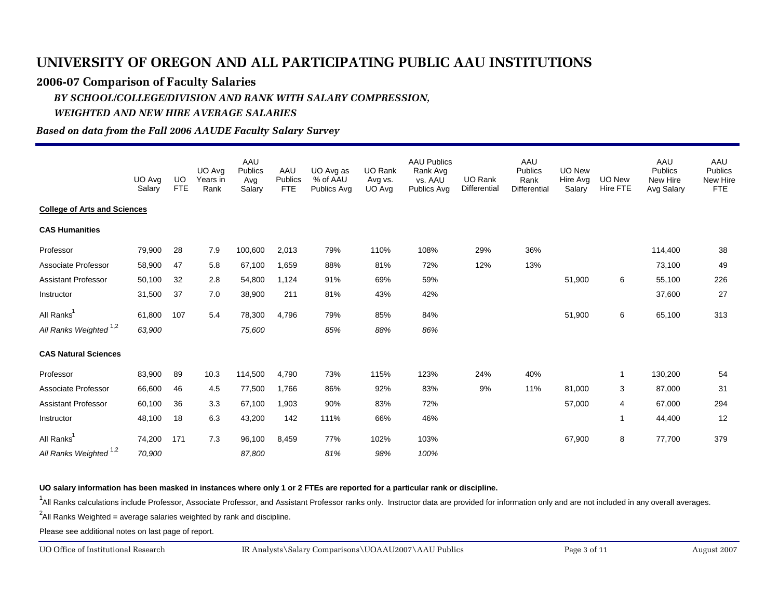#### **2006-07 Comparison of Faculty Salaries**

### *BY SCHOOL/COLLEGE/DIVISION AND RANK WITH SALARY COMPRESSION, WEIGHTED AND NEW HIRE AVERAGE SALARIES*

### *Based on data from the Fall 2006 AAUDE Faculty Salary Survey*

|                                     | UO Avg<br>Salary | UO<br><b>FTE</b> | UO Avg<br>Years in | AAU<br>Publics<br>Avg | AAU<br>Publics | UO Avg as<br>% of AAU | <b>UO Rank</b><br>Avg vs. | <b>AAU Publics</b><br>Rank Avg<br>vs. AAU | <b>UO Rank</b><br>Differential | AAU<br>Publics<br>Rank<br><b>Differential</b> | <b>UO New</b><br>Hire Avg | <b>UO New</b><br>Hire FTE | AAU<br><b>Publics</b><br>New Hire | AAU<br><b>Publics</b><br>New Hire |
|-------------------------------------|------------------|------------------|--------------------|-----------------------|----------------|-----------------------|---------------------------|-------------------------------------------|--------------------------------|-----------------------------------------------|---------------------------|---------------------------|-----------------------------------|-----------------------------------|
| <b>College of Arts and Sciences</b> |                  |                  | Rank               | Salary                | <b>FTE</b>     | Publics Avg           | UO Avg                    | Publics Avg                               |                                |                                               | Salary                    |                           | Avg Salary                        | <b>FTE</b>                        |
| <b>CAS Humanities</b>               |                  |                  |                    |                       |                |                       |                           |                                           |                                |                                               |                           |                           |                                   |                                   |
| Professor                           | 79,900           | 28               | 7.9                | 100,600               | 2,013          | 79%                   | 110%                      | 108%                                      | 29%                            | 36%                                           |                           |                           | 114,400                           | 38                                |
| Associate Professor                 | 58,900           | 47               | 5.8                | 67,100                | 1,659          | 88%                   | 81%                       | 72%                                       | 12%                            | 13%                                           |                           |                           | 73,100                            | 49                                |
| <b>Assistant Professor</b>          | 50,100           | 32               | 2.8                | 54,800                | 1,124          | 91%                   | 69%                       | 59%                                       |                                |                                               | 51,900                    | 6                         | 55,100                            | 226                               |
| Instructor                          | 31,500           | 37               | 7.0                | 38,900                | 211            | 81%                   | 43%                       | 42%                                       |                                |                                               |                           |                           | 37,600                            | 27                                |
| All Ranks <sup>1</sup>              | 61,800           | 107              | 5.4                | 78,300                | 4.796          | 79%                   | 85%                       | 84%                                       |                                |                                               | 51,900                    | 6                         | 65,100                            | 313                               |
| All Ranks Weighted <sup>1,2</sup>   | 63,900           |                  |                    | 75,600                |                | 85%                   | 88%                       | 86%                                       |                                |                                               |                           |                           |                                   |                                   |
| <b>CAS Natural Sciences</b>         |                  |                  |                    |                       |                |                       |                           |                                           |                                |                                               |                           |                           |                                   |                                   |
| Professor                           | 83,900           | 89               | 10.3               | 114,500               | 4,790          | 73%                   | 115%                      | 123%                                      | 24%                            | 40%                                           |                           | $\mathbf{1}$              | 130,200                           | 54                                |
| Associate Professor                 | 66,600           | 46               | 4.5                | 77,500                | 1,766          | 86%                   | 92%                       | 83%                                       | 9%                             | 11%                                           | 81,000                    | 3                         | 87,000                            | 31                                |
| <b>Assistant Professor</b>          | 60,100           | 36               | 3.3                | 67,100                | 1,903          | 90%                   | 83%                       | 72%                                       |                                |                                               | 57,000                    | 4                         | 67,000                            | 294                               |
| Instructor                          | 48,100           | 18               | 6.3                | 43,200                | 142            | 111%                  | 66%                       | 46%                                       |                                |                                               |                           | $\mathbf{1}$              | 44,400                            | 12                                |
| All Ranks <sup>1</sup>              | 74,200           | 171              | 7.3                | 96,100                | 8,459          | 77%                   | 102%                      | 103%                                      |                                |                                               | 67,900                    | 8                         | 77,700                            | 379                               |
| All Ranks Weighted <sup>1,2</sup>   | 70,900           |                  |                    | 87,800                |                | 81%                   | 98%                       | 100%                                      |                                |                                               |                           |                           |                                   |                                   |

**UO salary information has been masked in instances where only 1 or 2 FTEs are reported for a particular rank or discipline.**

<sup>1</sup>All Ranks calculations include Professor, Associate Professor, and Assistant Professor ranks only. Instructor data are provided for information only and are not included in any overall averages.

 $^2$ All Ranks Weighted = average salaries weighted by rank and discipline.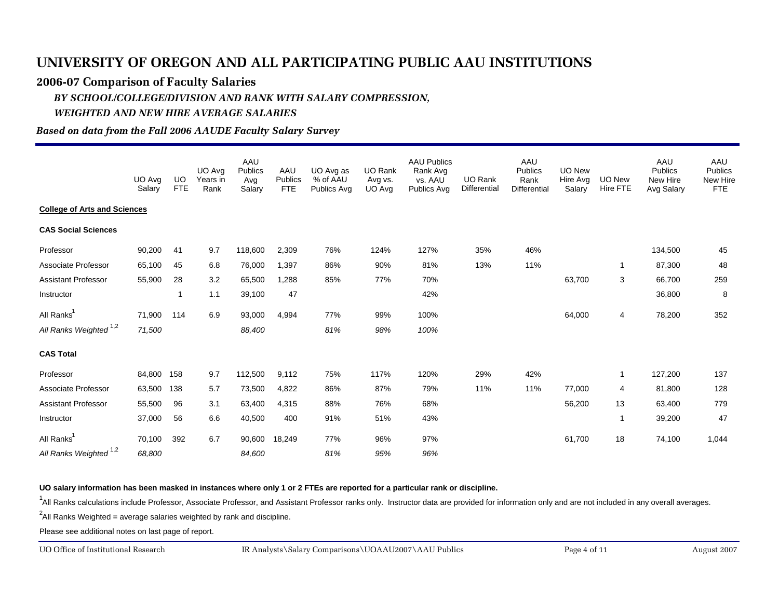#### **2006-07 Comparison of Faculty Salaries**

### *BY SCHOOL/COLLEGE/DIVISION AND RANK WITH SALARY COMPRESSION, WEIGHTED AND NEW HIRE AVERAGE SALARIES*

### *Based on data from the Fall 2006 AAUDE Faculty Salary Survey*

|                                     | UO Avg<br>Salary | <b>UO</b><br><b>FTE</b> | UO Avg<br>Years in<br>Rank | AAU<br>Publics<br>Avg<br>Salary | AAU<br>Publics<br><b>FTE</b> | UO Avg as<br>% of AAU<br>Publics Avg | <b>UO Rank</b><br>Avg vs.<br>UO Avg | <b>AAU Publics</b><br>Rank Avg<br>vs. AAU<br>Publics Avg | UO Rank<br>Differential | AAU<br>Publics<br>Rank<br><b>Differential</b> | <b>UO New</b><br>Hire Avg<br>Salarv | <b>UO New</b><br>Hire FTE | AAU<br><b>Publics</b><br>New Hire<br>Avg Salary | AAU<br>Publics<br>New Hire<br><b>FTE</b> |
|-------------------------------------|------------------|-------------------------|----------------------------|---------------------------------|------------------------------|--------------------------------------|-------------------------------------|----------------------------------------------------------|-------------------------|-----------------------------------------------|-------------------------------------|---------------------------|-------------------------------------------------|------------------------------------------|
| <b>College of Arts and Sciences</b> |                  |                         |                            |                                 |                              |                                      |                                     |                                                          |                         |                                               |                                     |                           |                                                 |                                          |
| <b>CAS Social Sciences</b>          |                  |                         |                            |                                 |                              |                                      |                                     |                                                          |                         |                                               |                                     |                           |                                                 |                                          |
| Professor                           | 90,200           | 41                      | 9.7                        | 118,600                         | 2,309                        | 76%                                  | 124%                                | 127%                                                     | 35%                     | 46%                                           |                                     |                           | 134,500                                         | 45                                       |
| Associate Professor                 | 65,100           | 45                      | 6.8                        | 76,000                          | 1,397                        | 86%                                  | 90%                                 | 81%                                                      | 13%                     | 11%                                           |                                     | 1                         | 87,300                                          | 48                                       |
| Assistant Professor                 | 55,900           | 28                      | 3.2                        | 65,500                          | 1,288                        | 85%                                  | 77%                                 | 70%                                                      |                         |                                               | 63,700                              | 3                         | 66,700                                          | 259                                      |
| Instructor                          |                  | 1                       | 1.1                        | 39,100                          | 47                           |                                      |                                     | 42%                                                      |                         |                                               |                                     |                           | 36,800                                          | 8                                        |
| All Ranks <sup>1</sup>              | 71,900           | 114                     | 6.9                        | 93,000                          | 4,994                        | 77%                                  | 99%                                 | 100%                                                     |                         |                                               | 64,000                              | 4                         | 78,200                                          | 352                                      |
| All Ranks Weighted <sup>1,2</sup>   | 71,500           |                         |                            | 88,400                          |                              | 81%                                  | 98%                                 | 100%                                                     |                         |                                               |                                     |                           |                                                 |                                          |
| <b>CAS Total</b>                    |                  |                         |                            |                                 |                              |                                      |                                     |                                                          |                         |                                               |                                     |                           |                                                 |                                          |
| Professor                           | 84,800 158       |                         | 9.7                        | 112,500                         | 9,112                        | 75%                                  | 117%                                | 120%                                                     | 29%                     | 42%                                           |                                     | $\mathbf{1}$              | 127,200                                         | 137                                      |
| Associate Professor                 | 63,500 138       |                         | 5.7                        | 73,500                          | 4,822                        | 86%                                  | 87%                                 | 79%                                                      | 11%                     | 11%                                           | 77,000                              | 4                         | 81,800                                          | 128                                      |
| <b>Assistant Professor</b>          | 55,500           | 96                      | 3.1                        | 63,400                          | 4,315                        | 88%                                  | 76%                                 | 68%                                                      |                         |                                               | 56,200                              | 13                        | 63,400                                          | 779                                      |
| Instructor                          | 37,000           | 56                      | 6.6                        | 40,500                          | 400                          | 91%                                  | 51%                                 | 43%                                                      |                         |                                               |                                     | $\mathbf{1}$              | 39,200                                          | 47                                       |
| All Ranks <sup>1</sup>              | 70,100           | 392                     | 6.7                        | 90,600                          | 18,249                       | 77%                                  | 96%                                 | 97%                                                      |                         |                                               | 61,700                              | 18                        | 74,100                                          | 1,044                                    |
| All Ranks Weighted <sup>1,2</sup>   | 68,800           |                         |                            | 84,600                          |                              | 81%                                  | 95%                                 | 96%                                                      |                         |                                               |                                     |                           |                                                 |                                          |

**UO salary information has been masked in instances where only 1 or 2 FTEs are reported for a particular rank or discipline.**

<sup>1</sup>All Ranks calculations include Professor, Associate Professor, and Assistant Professor ranks only. Instructor data are provided for information only and are not included in any overall averages.

 $^2$ All Ranks Weighted = average salaries weighted by rank and discipline.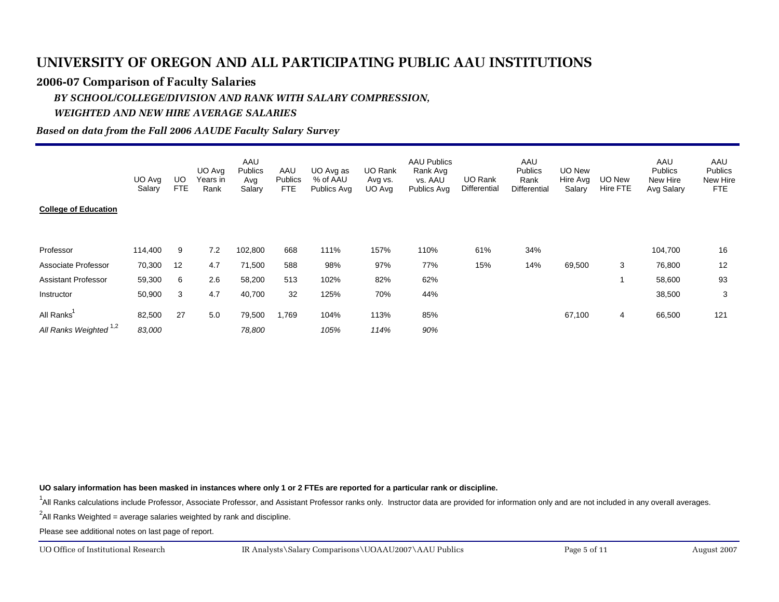#### **2006-07 Comparison of Faculty Salaries**

#### *BY SCHOOL/COLLEGE/DIVISION AND RANK WITH SALARY COMPRESSION, WEIGHTED AND NEW HIRE AVERAGE SALARIES*

#### *Based on data from the Fall 2006 AAUDE Faculty Salary Survey*

| <b>College of Education</b>                    | UO Avg<br>Salary | UO<br>FTE | UO Avg<br>Years in<br>Rank | AAU<br><b>Publics</b><br>Avg<br>Salary | AAU<br><b>Publics</b><br><b>FTE</b> | UO Avg as<br>% of AAU<br>Publics Avg | UO Rank<br>Avg vs.<br>UO Avg | <b>AAU Publics</b><br>Rank Avg<br>vs. AAU<br>Publics Avg | <b>UO Rank</b><br>Differential | AAU<br><b>Publics</b><br>Rank<br><b>Differential</b> | UO New<br>Hire Avg<br>Salary | UO New<br>Hire FTE | AAU<br>Publics<br>New Hire<br>Avg Salary | AAU<br>Publics<br>New Hire<br>FTE |
|------------------------------------------------|------------------|-----------|----------------------------|----------------------------------------|-------------------------------------|--------------------------------------|------------------------------|----------------------------------------------------------|--------------------------------|------------------------------------------------------|------------------------------|--------------------|------------------------------------------|-----------------------------------|
| Professor                                      | 114,400          | 9         | 7.2                        | 102,800                                | 668                                 | 111%                                 | 157%                         | 110%                                                     | 61%                            | 34%                                                  |                              |                    | 104,700                                  | 16                                |
| Associate Professor                            | 70,300           | 12        | 4.7                        | 71,500                                 | 588                                 | 98%                                  | 97%                          | 77%                                                      | 15%                            | 14%                                                  | 69,500                       | 3                  | 76,800                                   | 12                                |
| <b>Assistant Professor</b>                     | 59,300           | 6         | 2.6                        | 58,200                                 | 513                                 | 102%                                 | 82%                          | 62%                                                      |                                |                                                      |                              |                    | 58,600                                   | 93                                |
| Instructor                                     | 50,900           | 3         | 4.7                        | 40,700                                 | 32                                  | 125%                                 | 70%                          | 44%                                                      |                                |                                                      |                              |                    | 38,500                                   | 3                                 |
| All Ranks<br>All Ranks Weighted <sup>1,2</sup> | 82,500<br>83,000 | 27        | 5.0                        | 79,500<br>78,800                       | 1,769                               | 104%<br>105%                         | 113%<br>114%                 | 85%<br>90%                                               |                                |                                                      | 67,100                       | 4                  | 66,500                                   | 121                               |

**UO salary information has been masked in instances where only 1 or 2 FTEs are reported for a particular rank or discipline.**

<sup>1</sup>All Ranks calculations include Professor, Associate Professor, and Assistant Professor ranks only. Instructor data are provided for information only and are not included in any overall averages.

 $^2$ All Ranks Weighted = average salaries weighted by rank and discipline.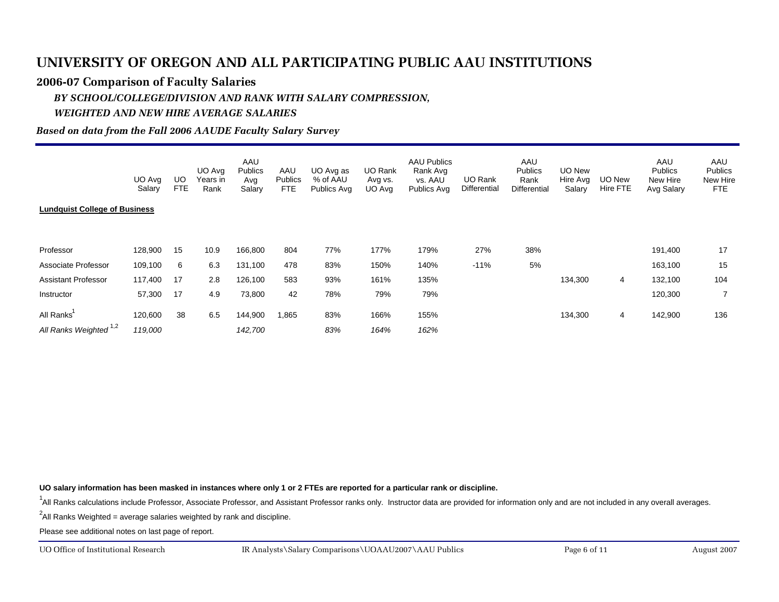#### **2006-07 Comparison of Faculty Salaries**

#### *BY SCHOOL/COLLEGE/DIVISION AND RANK WITH SALARY COMPRESSION, WEIGHTED AND NEW HIRE AVERAGE SALARIES*

#### *Based on data from the Fall 2006 AAUDE Faculty Salary Survey*

| <b>Lundquist College of Business</b> | UO Avg<br>Salary | UO<br><b>FTE</b> | UO Avg<br>Years in<br>Rank | AAU<br><b>Publics</b><br>Avg<br>Salary | AAU<br><b>Publics</b><br>FTE | UO Avg as<br>% of AAU<br>Publics Avg | UO Rank<br>Avg vs.<br>UO Avg | <b>AAU Publics</b><br>Rank Avg<br>vs. AAU<br>Publics Avg | UO Rank<br>Differential | AAU<br><b>Publics</b><br>Rank<br><b>Differential</b> | UO New<br>Hire Avg<br>Salary | UO New<br>Hire FTE | AAU<br><b>Publics</b><br>New Hire<br>Avg Salary | AAU<br>Publics<br>New Hire<br>FTE |
|--------------------------------------|------------------|------------------|----------------------------|----------------------------------------|------------------------------|--------------------------------------|------------------------------|----------------------------------------------------------|-------------------------|------------------------------------------------------|------------------------------|--------------------|-------------------------------------------------|-----------------------------------|
|                                      |                  |                  |                            |                                        |                              |                                      |                              |                                                          |                         |                                                      |                              |                    |                                                 |                                   |
|                                      |                  |                  |                            |                                        |                              |                                      |                              |                                                          |                         |                                                      |                              |                    |                                                 |                                   |
| Professor                            | 128,900          | 15               | 10.9                       | 166,800                                | 804                          | 77%                                  | 177%                         | 179%                                                     | 27%                     | 38%                                                  |                              |                    | 191,400                                         | 17                                |
| Associate Professor                  | 109,100          | 6                | 6.3                        | 131,100                                | 478                          | 83%                                  | 150%                         | 140%                                                     | $-11%$                  | 5%                                                   |                              |                    | 163,100                                         | 15                                |
| <b>Assistant Professor</b>           | 117,400          | 17               | 2.8                        | 126,100                                | 583                          | 93%                                  | 161%                         | 135%                                                     |                         |                                                      | 134,300                      | 4                  | 132,100                                         | 104                               |
| Instructor                           | 57,300           | 17               | 4.9                        | 73,800                                 | 42                           | 78%                                  | 79%                          | 79%                                                      |                         |                                                      |                              |                    | 120,300                                         | 7                                 |
| All Ranks                            | 120,600          | 38               | 6.5                        | 144,900                                | 1,865                        | 83%                                  | 166%                         | 155%                                                     |                         |                                                      | 134,300                      | 4                  | 142,900                                         | 136                               |
| All Ranks Weighted <sup>1,2</sup>    | 119,000          |                  |                            | 142,700                                |                              | 83%                                  | 164%                         | 162%                                                     |                         |                                                      |                              |                    |                                                 |                                   |

**UO salary information has been masked in instances where only 1 or 2 FTEs are reported for a particular rank or discipline.**

<sup>1</sup>All Ranks calculations include Professor, Associate Professor, and Assistant Professor ranks only. Instructor data are provided for information only and are not included in any overall averages.

 $^2$ All Ranks Weighted = average salaries weighted by rank and discipline.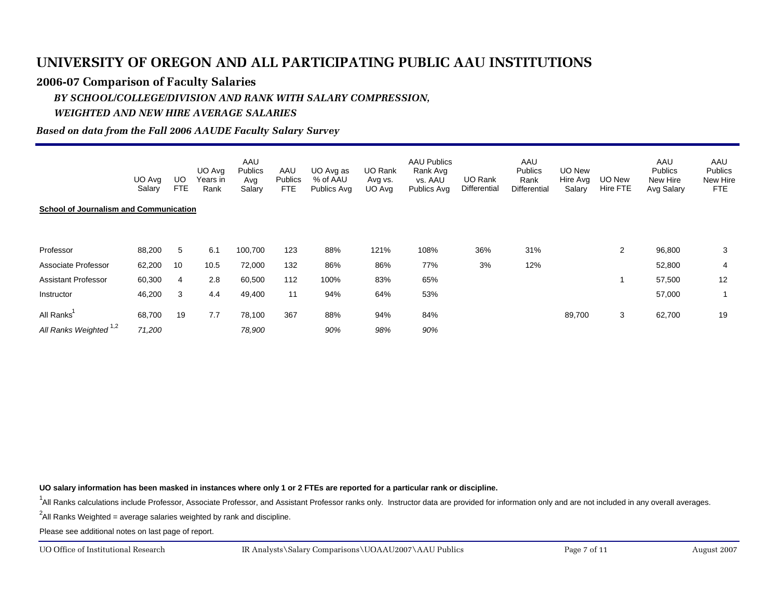#### **2006-07 Comparison of Faculty Salaries**

#### *BY SCHOOL/COLLEGE/DIVISION AND RANK WITH SALARY COMPRESSION, WEIGHTED AND NEW HIRE AVERAGE SALARIES*

#### *Based on data from the Fall 2006 AAUDE Faculty Salary Survey*

| FTE.                                                         |
|--------------------------------------------------------------|
|                                                              |
|                                                              |
| 3                                                            |
| 4                                                            |
| 12                                                           |
|                                                              |
| 19                                                           |
| Avg Salary<br>96,800<br>52,800<br>57,500<br>57,000<br>62,700 |

**UO salary information has been masked in instances where only 1 or 2 FTEs are reported for a particular rank or discipline.**

<sup>1</sup>All Ranks calculations include Professor, Associate Professor, and Assistant Professor ranks only. Instructor data are provided for information only and are not included in any overall averages.

 $^2$ All Ranks Weighted = average salaries weighted by rank and discipline.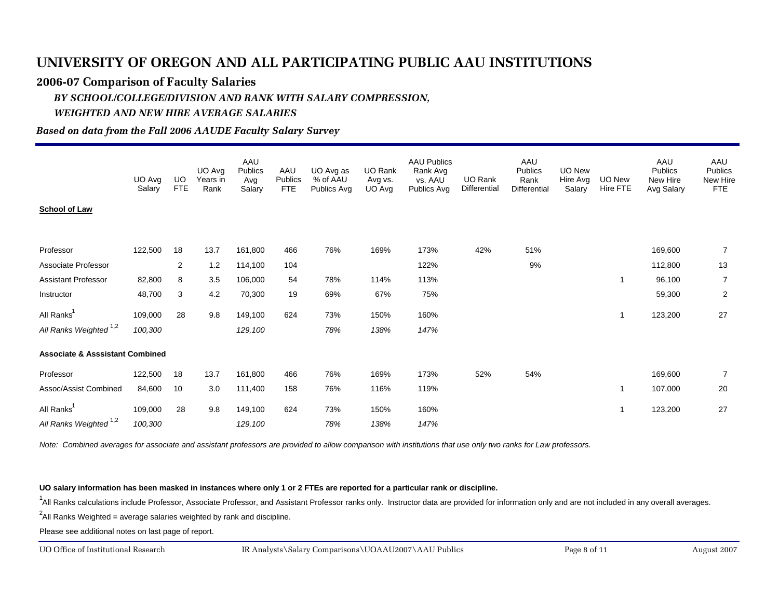#### **2006-07 Comparison of Faculty Salaries**

#### *BY SCHOOL/COLLEGE/DIVISION AND RANK WITH SALARY COMPRESSION, WEIGHTED AND NEW HIRE AVERAGE SALARIES*

#### *Based on data from the Fall 2006 AAUDE Faculty Salary Survey*

|                                                  | UO Avg<br>Salary   | UO.<br><b>FTE</b> | UO Avg<br>Years in<br>Rank | AAU<br>Publics<br>Avg<br>Salary | AAU<br>Publics<br><b>FTE</b> | UO Avg as<br>% of AAU<br>Publics Avg | UO Rank<br>Avg vs.<br>UO Avg | <b>AAU Publics</b><br>Rank Avg<br>vs. AAU<br>Publics Avg | UO Rank<br>Differential | AAU<br><b>Publics</b><br>Rank<br><b>Differential</b> | UO New<br>Hire Avg<br>Salary | UO New<br>Hire FTE | AAU<br>Publics<br>New Hire<br>Avg Salary | AAU<br>Publics<br>New Hire<br><b>FTE</b> |
|--------------------------------------------------|--------------------|-------------------|----------------------------|---------------------------------|------------------------------|--------------------------------------|------------------------------|----------------------------------------------------------|-------------------------|------------------------------------------------------|------------------------------|--------------------|------------------------------------------|------------------------------------------|
| <b>School of Law</b>                             |                    |                   |                            |                                 |                              |                                      |                              |                                                          |                         |                                                      |                              |                    |                                          |                                          |
| Professor                                        | 122,500            | 18                | 13.7                       | 161,800                         | 466                          | 76%                                  | 169%                         | 173%                                                     | 42%                     | 51%                                                  |                              |                    | 169,600                                  | $\overline{7}$                           |
| Associate Professor                              |                    | $\overline{2}$    | 1.2                        | 114,100                         | 104                          |                                      |                              | 122%                                                     |                         | 9%                                                   |                              |                    | 112,800                                  | 13                                       |
| <b>Assistant Professor</b>                       | 82,800             | 8                 | 3.5                        | 106,000                         | 54                           | 78%                                  | 114%                         | 113%                                                     |                         |                                                      |                              | 1                  | 96,100                                   | $\overline{7}$                           |
| Instructor                                       | 48,700             | 3                 | 4.2                        | 70,300                          | 19                           | 69%                                  | 67%                          | 75%                                                      |                         |                                                      |                              |                    | 59,300                                   | $\overline{2}$                           |
| All Ranks <sup>1</sup>                           | 109,000            | 28                | 9.8                        | 149,100                         | 624                          | 73%                                  | 150%                         | 160%                                                     |                         |                                                      |                              | $\mathbf 1$        | 123,200                                  | 27                                       |
| All Ranks Weighted <sup>1,2</sup>                | 100,300            |                   |                            | 129,100                         |                              | 78%                                  | 138%                         | 147%                                                     |                         |                                                      |                              |                    |                                          |                                          |
| <b>Associate &amp; Asssistant Combined</b>       |                    |                   |                            |                                 |                              |                                      |                              |                                                          |                         |                                                      |                              |                    |                                          |                                          |
| Professor                                        | 122,500            | 18                | 13.7                       | 161,800                         | 466                          | 76%                                  | 169%                         | 173%                                                     | 52%                     | 54%                                                  |                              |                    | 169,600                                  | $\overline{7}$                           |
| Assoc/Assist Combined                            | 84,600             | 10                | 3.0                        | 111,400                         | 158                          | 76%                                  | 116%                         | 119%                                                     |                         |                                                      |                              | 1                  | 107,000                                  | 20                                       |
| All Ranks <sup>1</sup><br>All Ranks Weighted 1,2 | 109,000<br>100,300 | 28                | 9.8                        | 149,100<br>129,100              | 624                          | 73%<br>78%                           | 150%<br>138%                 | 160%<br>147%                                             |                         |                                                      |                              | $\mathbf 1$        | 123,200                                  | 27                                       |
|                                                  |                    |                   |                            |                                 |                              |                                      |                              |                                                          |                         |                                                      |                              |                    |                                          |                                          |

*Note: Combined averages for associate and assistant professors are provided to allow comparison with institutions that use only two ranks for Law professors.*

**UO salary information has been masked in instances where only 1 or 2 FTEs are reported for a particular rank or discipline.**

<sup>1</sup>All Ranks calculations include Professor, Associate Professor, and Assistant Professor ranks only. Instructor data are provided for information only and are not included in any overall averages.

 $^2$ All Ranks Weighted = average salaries weighted by rank and discipline.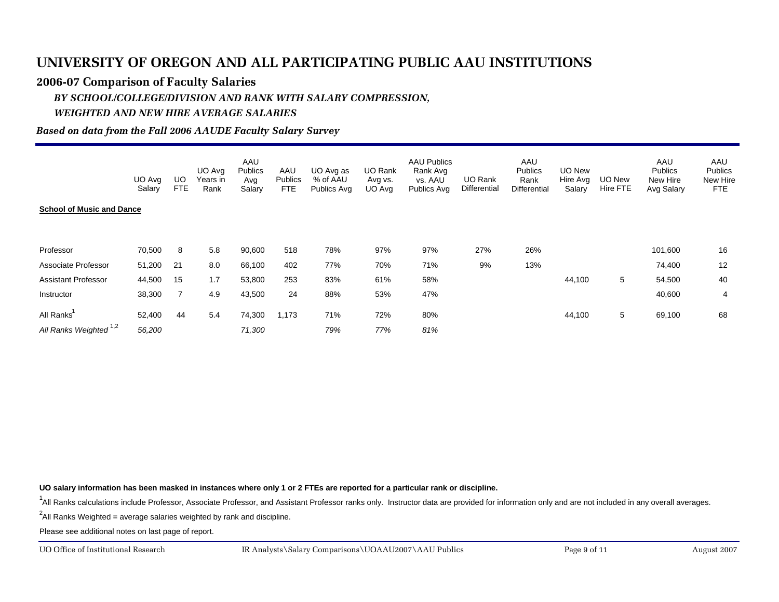#### **2006-07 Comparison of Faculty Salaries**

#### *BY SCHOOL/COLLEGE/DIVISION AND RANK WITH SALARY COMPRESSION, WEIGHTED AND NEW HIRE AVERAGE SALARIES*

#### *Based on data from the Fall 2006 AAUDE Faculty Salary Survey*

|                                                 | UO Avg<br>Salary | UO<br>FTE      | UO Avg<br>Years in<br>Rank | AAU<br><b>Publics</b><br>Avg<br>Salary | AAU<br><b>Publics</b><br>FTE | UO Avg as<br>% of AAU<br>Publics Avg | UO Rank<br>Avg vs.<br>UO Avg | <b>AAU Publics</b><br>Rank Avg<br>vs. AAU<br>Publics Avg | UO Rank<br>Differential | AAU<br>Publics<br>Rank<br>Differential | UO New<br>Hire Avg<br>Salary | UO New<br>Hire FTE | AAU<br><b>Publics</b><br>New Hire<br>Avg Salary | AAU<br>Publics<br>New Hire<br>FTE |
|-------------------------------------------------|------------------|----------------|----------------------------|----------------------------------------|------------------------------|--------------------------------------|------------------------------|----------------------------------------------------------|-------------------------|----------------------------------------|------------------------------|--------------------|-------------------------------------------------|-----------------------------------|
| <b>School of Music and Dance</b>                |                  |                |                            |                                        |                              |                                      |                              |                                                          |                         |                                        |                              |                    |                                                 |                                   |
|                                                 |                  |                |                            |                                        |                              |                                      |                              |                                                          |                         |                                        |                              |                    |                                                 |                                   |
| Professor                                       | 70,500           | 8              | 5.8                        | 90,600                                 | 518                          | 78%                                  | 97%                          | 97%                                                      | 27%                     | 26%                                    |                              |                    | 101,600                                         | 16                                |
| Associate Professor                             | 51,200           | 21             | 8.0                        | 66,100                                 | 402                          | 77%                                  | 70%                          | 71%                                                      | 9%                      | 13%                                    |                              |                    | 74,400                                          | 12                                |
| <b>Assistant Professor</b>                      | 44,500           | 15             | 1.7                        | 53,800                                 | 253                          | 83%                                  | 61%                          | 58%                                                      |                         |                                        | 44,100                       | 5                  | 54,500                                          | 40                                |
| Instructor                                      | 38,300           | $\overline{7}$ | 4.9                        | 43,500                                 | 24                           | 88%                                  | 53%                          | 47%                                                      |                         |                                        |                              |                    | 40,600                                          | 4                                 |
| All Ranks'<br>All Ranks Weighted <sup>1,2</sup> | 52,400           | 44             | 5.4                        | 74,300                                 | 1,173                        | 71%                                  | 72%                          | 80%                                                      |                         |                                        | 44,100                       | 5                  | 69,100                                          | 68                                |
|                                                 | 56,200           |                |                            | 71,300                                 |                              | 79%                                  | 77%                          | 81%                                                      |                         |                                        |                              |                    |                                                 |                                   |

**UO salary information has been masked in instances where only 1 or 2 FTEs are reported for a particular rank or discipline.**

<sup>1</sup>All Ranks calculations include Professor, Associate Professor, and Assistant Professor ranks only. Instructor data are provided for information only and are not included in any overall averages.

 $^2$ All Ranks Weighted = average salaries weighted by rank and discipline.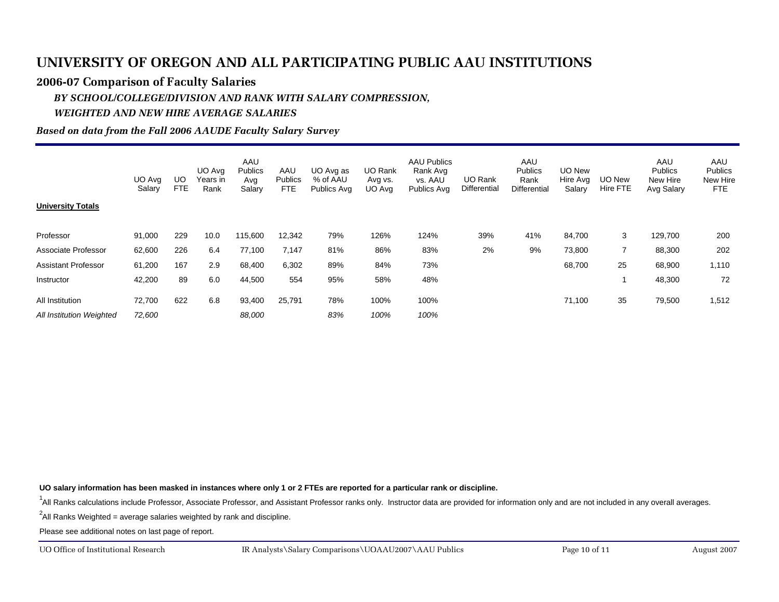#### **2006-07 Comparison of Faculty Salaries**

### *BY SCHOOL/COLLEGE/DIVISION AND RANK WITH SALARY COMPRESSION, WEIGHTED AND NEW HIRE AVERAGE SALARIES*

#### *Based on data from the Fall 2006 AAUDE Faculty Salary Survey*

|                            | UO Avg<br>Salary | UO<br>FTE | UO Avg<br>Years in<br>Rank | AAU<br><b>Publics</b><br>Avg<br>Salary | AAU<br>Publics<br><b>FTE</b> | UO Avg as<br>% of AAU<br>Publics Avg | <b>UO Rank</b><br>Avg vs.<br>UO Avg | <b>AAU Publics</b><br>Rank Avg<br>vs. AAU<br>Publics Avg | UO Rank<br>Differential | AAU<br><b>Publics</b><br>Rank<br><b>Differential</b> | UO New<br>Hire Avg<br>Salary | UO New<br>Hire FTE | AAU<br><b>Publics</b><br>New Hire<br>Avg Salary | AAU<br><b>Publics</b><br>New Hire<br>FTE. |
|----------------------------|------------------|-----------|----------------------------|----------------------------------------|------------------------------|--------------------------------------|-------------------------------------|----------------------------------------------------------|-------------------------|------------------------------------------------------|------------------------------|--------------------|-------------------------------------------------|-------------------------------------------|
| <b>University Totals</b>   |                  |           |                            |                                        |                              |                                      |                                     |                                                          |                         |                                                      |                              |                    |                                                 |                                           |
| Professor                  | 91,000           | 229       | 10.0                       | 115,600                                | 12,342                       | 79%                                  | 126%                                | 124%                                                     | 39%                     | 41%                                                  | 84,700                       | 3                  | 129,700                                         | 200                                       |
| Associate Professor        | 62,600           | 226       | 6.4                        | 77,100                                 | 7,147                        | 81%                                  | 86%                                 | 83%                                                      | 2%                      | 9%                                                   | 73,800                       | 7                  | 88,300                                          | 202                                       |
| <b>Assistant Professor</b> | 61,200           | 167       | 2.9                        | 68,400                                 | 6,302                        | 89%                                  | 84%                                 | 73%                                                      |                         |                                                      | 68,700                       | 25                 | 68,900                                          | 1,110                                     |
| Instructor                 | 42,200           | 89        | 6.0                        | 44,500                                 | 554                          | 95%                                  | 58%                                 | 48%                                                      |                         |                                                      |                              |                    | 48,300                                          | 72                                        |
| All Institution            | 72,700           | 622       | 6.8                        | 93,400                                 | 25,791                       | 78%                                  | 100%                                | 100%                                                     |                         |                                                      | 71,100                       | 35                 | 79,500                                          | 1,512                                     |
| All Institution Weighted   | 72,600           |           |                            | 88,000                                 |                              | 83%                                  | 100%                                | 100%                                                     |                         |                                                      |                              |                    |                                                 |                                           |

**UO salary information has been masked in instances where only 1 or 2 FTEs are reported for a particular rank or discipline.**

<sup>1</sup>All Ranks calculations include Professor, Associate Professor, and Assistant Professor ranks only. Instructor data are provided for information only and are not included in any overall averages.

 $^2$ All Ranks Weighted = average salaries weighted by rank and discipline.